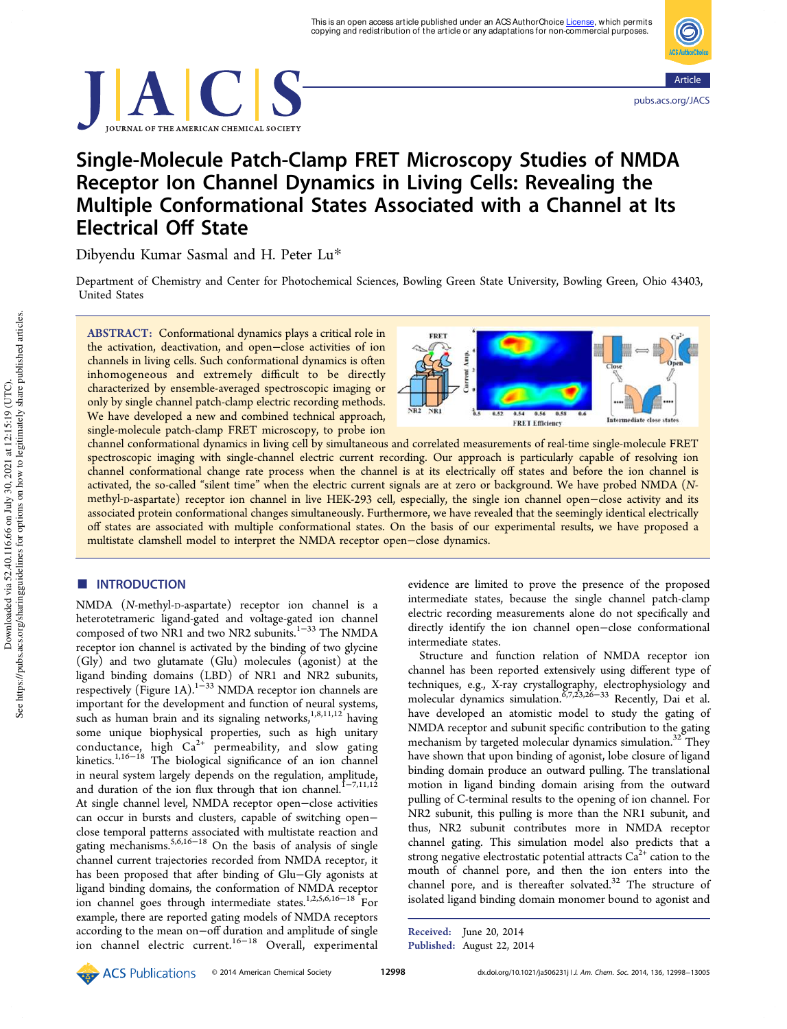



# Single-Molecule Patch-Clamp FRET Microscopy Studies of NMDA Receptor Ion Channel Dynamics in Living Cells: Revealing the Multiple Conformational States Associated with a Channel at Its Electrical Off State

Dibyendu Kumar Sasmal and H. Peter Lu\*

Department of Chemistry and Center for Photochemical Sciences, Bowling Green State University, Bowling Green, Ohio 43403, United States

ABSTRACT: Conformational dynamics plays a critical role in the activation, deactivation, and open−close activities of ion channels in living cells. Such conformational dynamics is often inhomogeneous and extremely difficult to be directly characterized by ensemble-averaged spectroscopic imaging or only by single channel patch-clamp electric recording methods. We have developed a new and combined technical approach, single-molecule patch-clamp FRET microscopy, to probe ion



channel conformational dynamics in living cell by simultaneous and correlated measurements of real-time single-molecule FRET spectroscopic imaging with single-channel electric current recording. Our approach is particularly capable of resolving ion channel conformational change rate process when the channel is at its electrically off states and before the ion channel is activated, the so-called "silent time" when the electric current signals are at zero or background. We have probed NMDA (*N*methyl-D-aspartate) receptor ion channel in live HEK-293 cell, especially, the single ion channel open−close activity and its associated protein conformational changes simultaneously. Furthermore, we have revealed that the seemingly identical electrically off states are associated with multiple conformational states. On the basis of our experimental results, we have proposed a multistate clamshell model to interpret the NMDA receptor open−close dynamics.

## **ENTRODUCTION**

NMDA (*N*-methyl-D-aspartate) receptor ion channel is a heterotetrameric ligand-gated and voltage-gated ion channel composed of two NR1 and two NR2 subunits.1−<sup>33</sup> The NMDA receptor ion channel is activated by the binding of two glycine (Gly) and two glutamate (Glu) molecules (agonist) at the ligand binding domains (LBD) of NR1 and NR2 subunits, respectively (Figure 1A).<sup>1−33</sup> NMDA receptor ion channels are important for the development and function of neural systems, such as human brain and its signaling networks,<sup>1,8,11,12</sup> having some unique biophysical properties, such as high unitary conductance, high  $Ca^{2+}$  permeability, and slow gating kinetics.1,16−<sup>18</sup> The biological significance of an ion channel in neural system largely depends on the regulation, amplitude, and duration of the ion flux through that ion channel.<sup>1−7,11,12</sup> At single channel level, NMDA receptor open−close activities can occur in bursts and clusters, capable of switching open− close temporal patterns associated with multistate reaction and gating mechanisms.5,6,16−<sup>18</sup> On the basis of analysis of single channel current trajectories recorded from NMDA receptor, it has been proposed that after binding of Glu−Gly agonists at ligand binding domains, the conformation of NMDA receptor ion channel goes through intermediate states.1,2,5,6,16−<sup>18</sup> For example, there are reported gating models of NMDA receptors according to the mean on−off duration and amplitude of single ion channel electric current.16−<sup>18</sup> Overall, experimental

evidence are limited to prove the presence of the proposed intermediate states, because the single channel patch-clamp electric recording measurements alone do not specifically and directly identify the ion channel open−close conformational intermediate states.

Structure and function relation of NMDA receptor ion channel has been reported extensively using different type of techniques, e.g., X-ray crystallography, electrophysiology and<br>molecular dynamics simulation.<sup>6,7,23,26–33</sup> Recently, Dai et al. have developed an atomistic model to study the gating of NMDA receptor and subunit specific contribution to the gating mechanism by targeted molecular dynamics simulation.<sup>32</sup> They have shown that upon binding of agonist, lobe closure of ligand binding domain produce an outward pulling. The translational motion in ligand binding domain arising from the outward pulling of C-terminal results to the opening of ion channel. For NR2 subunit, this pulling is more than the NR1 subunit, and thus, NR2 subunit contributes more in NMDA receptor channel gating. This simulation model also predicts that a strong negative electrostatic potential attracts  $Ca^{2+}$  cation to the mouth of channel pore, and then the ion enters into the channel pore, and is thereafter solvated.<sup>32</sup> The structure of isolated ligand binding domain monomer bound to agonist and

Received: June 20, 2014 Published: August 22, 2014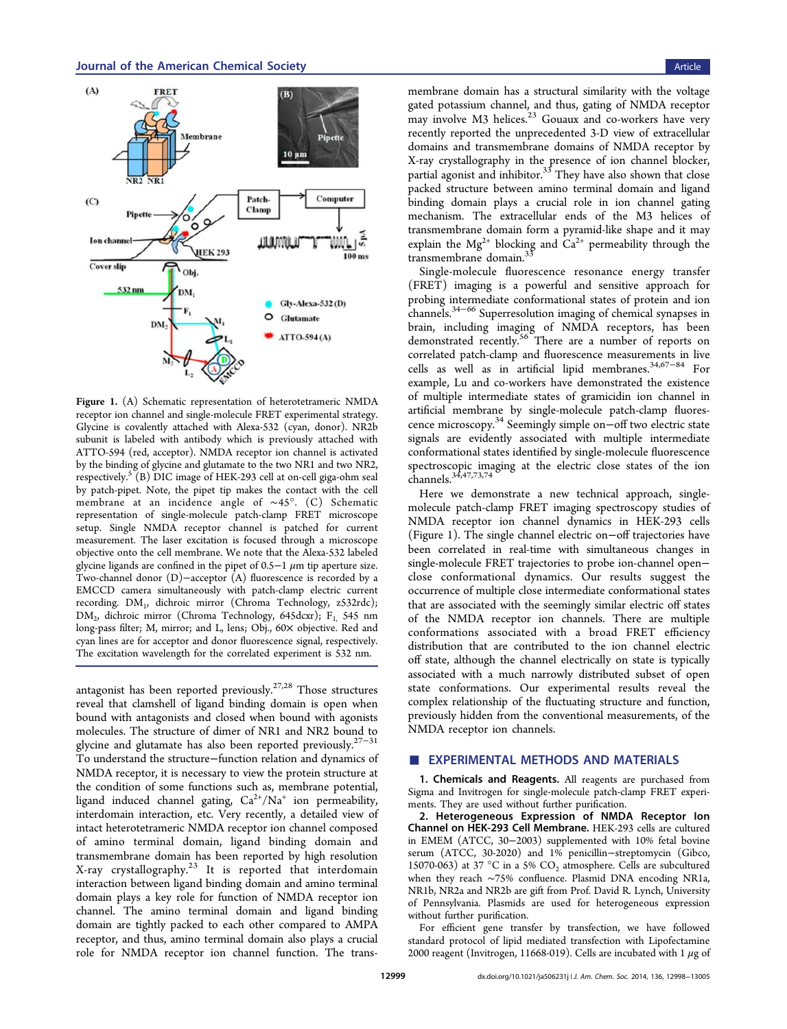

Figure 1. (A) Schematic representation of heterotetrameric NMDA receptor ion channel and single-molecule FRET experimental strategy. Glycine is covalently attached with Alexa-532 (cyan, donor). NR2b subunit is labeled with antibody which is previously attached with ATTO-594 (red, acceptor). NMDA receptor ion channel is activated by the binding of glycine and glutamate to the two NR1 and two NR2, respectively.  ${}^5({\rm B})$  DIC image of HEK-293 cell at on-cell giga-ohm seal by patch-pipet. Note, the pipet tip makes the contact with the cell membrane at an incidence angle of ∼45°. (C) Schematic representation of single-molecule patch-clamp FRET microscope setup. Single NMDA receptor channel is patched for current measurement. The laser excitation is focused through a microscope objective onto the cell membrane. We note that the Alexa-532 labeled glycine ligands are confined in the pipet of 0.5−1  $\mu$ m tip aperture size. Two-channel donor (D)−acceptor (A) fluorescence is recorded by a EMCCD camera simultaneously with patch-clamp electric current recording. DM<sup>1</sup> , dichroic mirror (Chroma Technology, z532rdc);  $\rm DM_{2}$ , dichroic mirror (Chroma Technology, 645dcxr); F<sub>1,</sub> 545 nm long-pass filter; M, mirror; and L, lens; Obj., 60× objective. Red and cyan lines are for acceptor and donor fluorescence signal, respectively. The excitation wavelength for the correlated experiment is 532 nm.

antagonist has been reported previously.<sup>27,28</sup> Those structures reveal that clamshell of ligand binding domain is open when bound with antagonists and closed when bound with agonists molecules. The structure of dimer of NR1 and NR2 bound to glycine and glutamate has also been reported previously.<sup>27–31</sup> To understand the structure−function relation and dynamics of NMDA receptor, it is necessary to view the protein structure at the condition of some functions such as, membrane potential, ligand induced channel gating,  $Ca^{2+}/Na^{+}$  ion permeability, interdomain interaction, etc. Very recently, a detailed view of intact heterotetrameric NMDA receptor ion channel composed of amino terminal domain, ligand binding domain and transmembrane domain has been reported by high resolution X-ray crystallography.<sup>23</sup> It is reported that interdomain interaction between ligand binding domain and amino terminal domain plays a key role for function of NMDA receptor ion channel. The amino terminal domain and ligand binding domain are tightly packed to each other compared to AMPA receptor, and thus, amino terminal domain also plays a crucial role for NMDA receptor ion channel function. The trans-

membrane domain has a structural similarity with the voltage gated potassium channel, and thus, gating of NMDA receptor may involve M3 helices.<sup>23</sup> Gouaux and co-workers have very recently reported the unprecedented 3-D view of extracellular domains and transmembrane domains of NMDA receptor by X-ray crystallography in the presence of ion channel blocker, partial agonist and inhibitor.<sup>33</sup> They have also shown that close packed structure between amino terminal domain and ligand binding domain plays a crucial role in ion channel gating mechanism. The extracellular ends of the M3 helices of transmembrane domain form a pyramid-like shape and it may explain the Mg<sup>2+</sup> blocking and  $Ca^{2+}$  permeability through the transmembrane domain.<sup>33</sup>

Single-molecule fluorescence resonance energy transfer (FRET) imaging is a powerful and sensitive approach for probing intermediate conformational states of protein and ion channels.34−<sup>66</sup> Superresolution imaging of chemical synapses in brain, including imaging of NMDA receptors, has been demonstrated recently.<sup>56</sup> There are a number of reports on correlated patch-clamp and fluorescence measurements in live cells as well as in artificial lipid membranes.34,67−<sup>84</sup> For example, Lu and co-workers have demonstrated the existence of multiple intermediate states of gramicidin ion channel in artificial membrane by single-molecule patch-clamp fluorescence microscopy.<sup>34</sup> Seemingly simple on−off two electric state signals are evidently associated with multiple intermediate conformational states identified by single-molecule fluorescence spectroscopic imaging at the electric close states of the ion channels.34,47,73,74

Here we demonstrate a new technical approach, singlemolecule patch-clamp FRET imaging spectroscopy studies of NMDA receptor ion channel dynamics in HEK-293 cells (Figure 1). The single channel electric on−off trajectories have been correlated in real-time with simultaneous changes in single-molecule FRET trajectories to probe ion-channel open− close conformational dynamics. Our results suggest the occurrence of multiple close intermediate conformational states that are associated with the seemingly similar electric off states of the NMDA receptor ion channels. There are multiple conformations associated with a broad FRET efficiency distribution that are contributed to the ion channel electric off state, although the channel electrically on state is typically associated with a much narrowly distributed subset of open state conformations. Our experimental results reveal the complex relationship of the fluctuating structure and function, previously hidden from the conventional measurements, of the NMDA receptor ion channels.

### **EXPERIMENTAL METHODS AND MATERIALS**

1. Chemicals and Reagents. All reagents are purchased from Sigma and Invitrogen for single-molecule patch-clamp FRET experiments. They are used without further purification.

2. Heterogeneous Expression of NMDA Receptor Ion Channel on HEK-293 Cell Membrane. HEK-293 cells are cultured in EMEM (ATCC, 30−2003) supplemented with 10% fetal bovine serum (ATCC, 30-2020) and 1% penicillin−streptomycin (Gibco, 15070-063) at 37 °C in a 5%  $CO<sub>2</sub>$  atmosphere. Cells are subcultured when they reach ∼75% confluence. Plasmid DNA encoding NR1a, NR1b, NR2a and NR2b are gift from Prof. David R. Lynch, University of Pennsylvania. Plasmids are used for heterogeneous expression without further purification.

For efficient gene transfer by transfection, we have followed standard protocol of lipid mediated transfection with Lipofectamine 2000 reagent (Invitrogen, 11668-019). Cells are incubated with 1  $\mu$ g of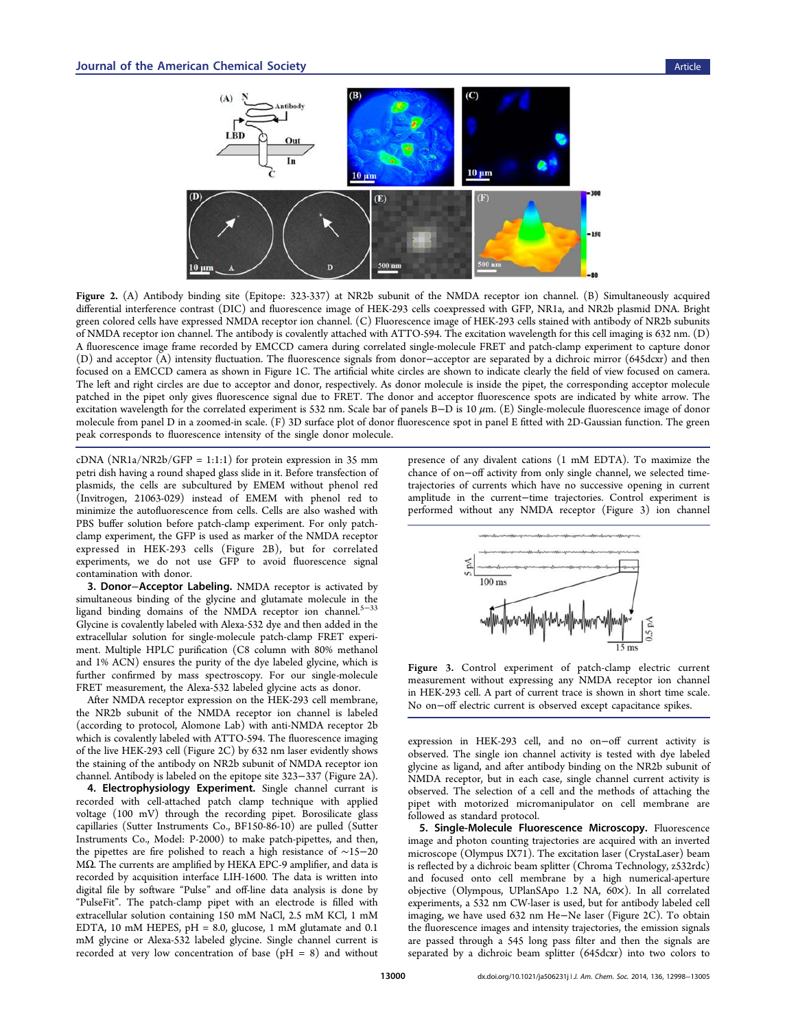

Figure 2. (A) Antibody binding site (Epitope: 323-337) at NR2b subunit of the NMDA receptor ion channel. (B) Simultaneously acquired differential interference contrast (DIC) and fluorescence image of HEK-293 cells coexpressed with GFP, NR1a, and NR2b plasmid DNA. Bright green colored cells have expressed NMDA receptor ion channel. (C) Fluorescence image of HEK-293 cells stained with antibody of NR2b subunits of NMDA receptor ion channel. The antibody is covalently attached with ATTO-594. The excitation wavelength for this cell imaging is 632 nm. (D) A fluorescence image frame recorded by EMCCD camera during correlated single-molecule FRET and patch-clamp experiment to capture donor (D) and acceptor (A) intensity fluctuation. The fluorescence signals from donor−acceptor are separated by a dichroic mirror (645dcxr) and then focused on a EMCCD camera as shown in Figure 1C. The artificial white circles are shown to indicate clearly the field of view focused on camera. The left and right circles are due to acceptor and donor, respectively. As donor molecule is inside the pipet, the corresponding acceptor molecule patched in the pipet only gives fluorescence signal due to FRET. The donor and acceptor fluorescence spots are indicated by white arrow. The excitation wavelength for the correlated experiment is 532 nm. Scale bar of panels B-D is 10  $\mu$ m. (E) Single-molecule fluorescence image of donor molecule from panel D in a zoomed-in scale. (F) 3D surface plot of donor fluorescence spot in panel E fitted with 2D-Gaussian function. The green peak corresponds to fluorescence intensity of the single donor molecule.

cDNA (NR1a/NR2b/GFP = 1:1:1) for protein expression in 35 mm petri dish having a round shaped glass slide in it. Before transfection of plasmids, the cells are subcultured by EMEM without phenol red (Invitrogen, 21063-029) instead of EMEM with phenol red to minimize the autofluorescence from cells. Cells are also washed with PBS buffer solution before patch-clamp experiment. For only patchclamp experiment, the GFP is used as marker of the NMDA receptor expressed in HEK-293 cells (Figure 2B), but for correlated experiments, we do not use GFP to avoid fluorescence signal contamination with donor.

3. Donor−Acceptor Labeling. NMDA receptor is activated by simultaneous binding of the glycine and glutamate molecule in the ligand binding domains of the NMDA receptor ion channel.<sup>5−33</sup> Glycine is covalently labeled with Alexa-532 dye and then added in the extracellular solution for single-molecule patch-clamp FRET experiment. Multiple HPLC purification (C8 column with 80% methanol and 1% ACN) ensures the purity of the dye labeled glycine, which is further confirmed by mass spectroscopy. For our single-molecule FRET measurement, the Alexa-532 labeled glycine acts as donor.

After NMDA receptor expression on the HEK-293 cell membrane, the NR2b subunit of the NMDA receptor ion channel is labeled (according to protocol, Alomone Lab) with anti-NMDA receptor 2b which is covalently labeled with ATTO-594. The fluorescence imaging of the live HEK-293 cell (Figure 2C) by 632 nm laser evidently shows the staining of the antibody on NR2b subunit of NMDA receptor ion channel. Antibody is labeled on the epitope site 323−337 (Figure 2A).

4. Electrophysiology Experiment. Single channel currant is recorded with cell-attached patch clamp technique with applied voltage (100 mV) through the recording pipet. Borosilicate glass capillaries (Sutter Instruments Co., BF150-86-10) are pulled (Sutter Instruments Co., Model: P-2000) to make patch-pipettes, and then, the pipettes are fire polished to reach a high resistance of ∼15−20 MΩ. The currents are amplified by HEKA EPC-9 amplifier, and data is recorded by acquisition interface LIH-1600. The data is written into digital file by software "Pulse" and off-line data analysis is done by "PulseFit". The patch-clamp pipet with an electrode is filled with extracellular solution containing 150 mM NaCl, 2.5 mM KCl, 1 mM EDTA, 10 mM HEPES, pH = 8.0, glucose, 1 mM glutamate and 0.1 mM glycine or Alexa-532 labeled glycine. Single channel current is recorded at very low concentration of base ( $pH = 8$ ) and without

presence of any divalent cations (1 mM EDTA). To maximize the chance of on−off activity from only single channel, we selected timetrajectories of currents which have no successive opening in current amplitude in the current−time trajectories. Control experiment is performed without any NMDA receptor (Figure 3) ion channel



Figure 3. Control experiment of patch-clamp electric current measurement without expressing any NMDA receptor ion channel in HEK-293 cell. A part of current trace is shown in short time scale. No on−off electric current is observed except capacitance spikes.

expression in HEK-293 cell, and no on−off current activity is observed. The single ion channel activity is tested with dye labeled glycine as ligand, and after antibody binding on the NR2b subunit of NMDA receptor, but in each case, single channel current activity is observed. The selection of a cell and the methods of attaching the pipet with motorized micromanipulator on cell membrane are followed as standard protocol.

5. Single-Molecule Fluorescence Microscopy. Fluorescence image and photon counting trajectories are acquired with an inverted microscope (Olympus IX71). The excitation laser (CrystaLaser) beam is reflected by a dichroic beam splitter (Chroma Technology, z532rdc) and focused onto cell membrane by a high numerical-aperture objective (Olympous, UPlanSApo 1.2 NA, 60×). In all correlated experiments, a 532 nm CW-laser is used, but for antibody labeled cell imaging, we have used 632 nm He−Ne laser (Figure 2C). To obtain the fluorescence images and intensity trajectories, the emission signals are passed through a 545 long pass filter and then the signals are separated by a dichroic beam splitter (645dcxr) into two colors to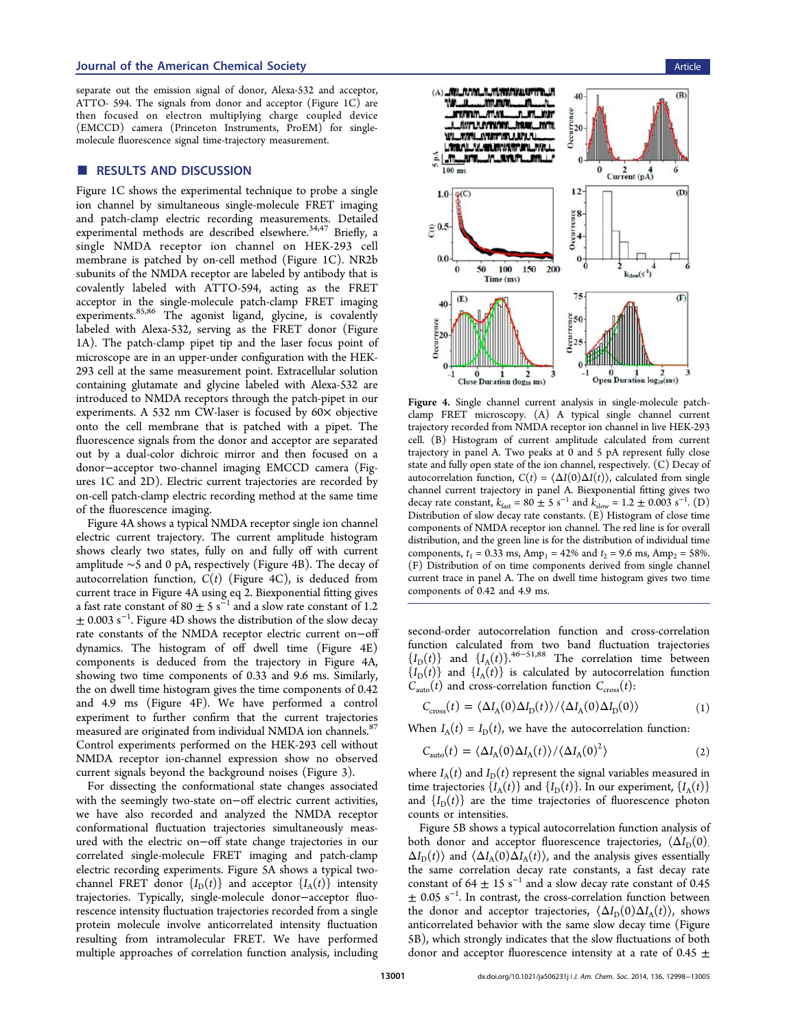### Journal of the American Chemical Society Article Article and The Article Article Article Article Article Article

separate out the emission signal of donor, Alexa-532 and acceptor, ATTO- 594. The signals from donor and acceptor (Figure 1C) are then focused on electron multiplying charge coupled device (EMCCD) camera (Princeton Instruments, ProEM) for singlemolecule fluorescence signal time-trajectory measurement.

#### ■ RESULTS AND DISCUSSION

Figure 1C shows the experimental technique to probe a single ion channel by simultaneous single-molecule FRET imaging and patch-clamp electric recording measurements. Detailed experimental methods are described elsewhere.<sup>34,47</sup> Briefly, a single NMDA receptor ion channel on HEK-293 cell membrane is patched by on-cell method (Figure 1C). NR2b subunits of the NMDA receptor are labeled by antibody that is covalently labeled with ATTO-594, acting as the FRET acceptor in the single-molecule patch-clamp FRET imaging experiments.<sup>85,86</sup> The agonist ligand, glycine, is covalently labeled with Alexa-532, serving as the FRET donor (Figure 1A). The patch-clamp pipet tip and the laser focus point of microscope are in an upper-under configuration with the HEK-293 cell at the same measurement point. Extracellular solution containing glutamate and glycine labeled with Alexa-532 are introduced to NMDA receptors through the patch-pipet in our experiments. A 532 nm CW-laser is focused by 60× objective onto the cell membrane that is patched with a pipet. The fluorescence signals from the donor and acceptor are separated out by a dual-color dichroic mirror and then focused on a donor−acceptor two-channel imaging EMCCD camera (Figures 1C and 2D). Electric current trajectories are recorded by on-cell patch-clamp electric recording method at the same time of the fluorescence imaging.

Figure 4A shows a typical NMDA receptor single ion channel electric current trajectory. The current amplitude histogram shows clearly two states, fully on and fully off with current amplitude ∼5 and 0 pA, respectively (Figure 4B). The decay of autocorrelation function, *C*(*t*) (Figure 4C), is deduced from current trace in Figure 4A using eq 2. Biexponential fitting gives a fast rate constant of 80  $\pm$  5 s<sup>-1</sup> and a slow rate constant of 1.2 ± 0.003 s<sup>−</sup><sup>1</sup> . Figure 4D shows the distribution of the slow decay rate constants of the NMDA receptor electric current on−off dynamics. The histogram of off dwell time (Figure 4E) components is deduced from the trajectory in Figure 4A, showing two time components of 0.33 and 9.6 ms. Similarly, the on dwell time histogram gives the time components of 0.42 and 4.9 ms (Figure 4F). We have performed a control experiment to further confirm that the current trajectories measured are originated from individual NMDA ion channels.<sup>87</sup> Control experiments performed on the HEK-293 cell without NMDA receptor ion-channel expression show no observed current signals beyond the background noises (Figure 3).

For dissecting the conformational state changes associated with the seemingly two-state on−off electric current activities, we have also recorded and analyzed the NMDA receptor conformational fluctuation trajectories simultaneously measured with the electric on−off state change trajectories in our correlated single-molecule FRET imaging and patch-clamp electric recording experiments. Figure 5A shows a typical twochannel FRET donor  ${I_D(t)}$  and acceptor  ${I_A(t)}$  intensity trajectories. Typically, single-molecule donor−acceptor fluorescence intensity fluctuation trajectories recorded from a single protein molecule involve anticorrelated intensity fluctuation resulting from intramolecular FRET. We have performed multiple approaches of correlation function analysis, including



Figure 4. Single channel current analysis in single-molecule patchclamp FRET microscopy. (A) A typical single channel current trajectory recorded from NMDA receptor ion channel in live HEK-293 cell. (B) Histogram of current amplitude calculated from current trajectory in panel A. Two peaks at 0 and 5 pA represent fully close state and fully open state of the ion channel, respectively. (C) Decay of autocorrelation function,  $C(t) = \langle \Delta I(0) \Delta I(t) \rangle$ , calculated from single channel current trajectory in panel A. Biexponential fitting gives two decay rate constant,  $k_{\text{fast}} = 80 \pm 5 \text{ s}^{-1}$  and  $k_{\text{slow}} = 1.2 \pm 0.003 \text{ s}^{-1}$ . (D) Distribution of slow decay rate constants. (E) Histogram of close time components of NMDA receptor ion channel. The red line is for overall distribution, and the green line is for the distribution of individual time components,  $t_1 = 0.33$  ms,  $Amp_1 = 42\%$  and  $t_2 = 9.6$  ms,  $Amp_2 = 58\%$ . (F) Distribution of on time components derived from single channel current trace in panel A. The on dwell time histogram gives two time components of 0.42 and 4.9 ms.

second-order autocorrelation function and cross-correlation function calculated from two band fluctuation trajectories  ${I_D(t)}$  and  ${I_A(t)}$ .<sup>46−51,88</sup> The correlation time between  ${I_D(t)}$  and  ${I_A(t)}$  is calculated by autocorrelation function  $C_{\text{auto}}(t)$  and cross-correlation function  $C_{\text{cross}}(t)$ :

$$
C_{\rm cross}(t) = \langle \Delta I_{\rm A}(0) \Delta I_{\rm D}(t) \rangle / \langle \Delta I_{\rm A}(0) \Delta I_{\rm D}(0) \rangle \tag{1}
$$

When  $I_A(t) = I_D(t)$ , we have the autocorrelation function:

$$
C_{\text{auto}}(t) = \langle \Delta I_{\text{A}}(0) \Delta I_{\text{A}}(t) \rangle / \langle \Delta I_{\text{A}}(0)^2 \rangle \tag{2}
$$

where  $I_{\rm A}(t)$  and  $I_{\rm D}(t)$  represent the signal variables measured in time trajectories  $\{I_A(t)\}$  and  $\{I_D(t)\}$ . In our experiment,  $\{I_A(t)\}$ and  ${I_D(t)}$  are the time trajectories of fluorescence photon counts or intensities.

Figure 5B shows a typical autocorrelation function analysis of both donor and acceptor fluorescence trajectories,  $\langle \Delta I_D(0) \rangle$  $\Delta I_{\rm D}(t)$  and  $\langle \Delta I_{\rm A}(0) \Delta I_{\rm A}(t) \rangle$ , and the analysis gives essentially the same correlation decay rate constants, a fast decay rate constant of 64  $\pm$  15 s<sup>-1</sup> and a slow decay rate constant of 0.45  $\pm$  0.05 s<sup>-1</sup>. In contrast, the cross-correlation function between the donor and acceptor trajectories,  $\langle \Delta I_D(0) \Delta I_A(t) \rangle$ , shows anticorrelated behavior with the same slow decay time (Figure 5B), which strongly indicates that the slow fluctuations of both donor and acceptor fluorescence intensity at a rate of 0.45  $\pm$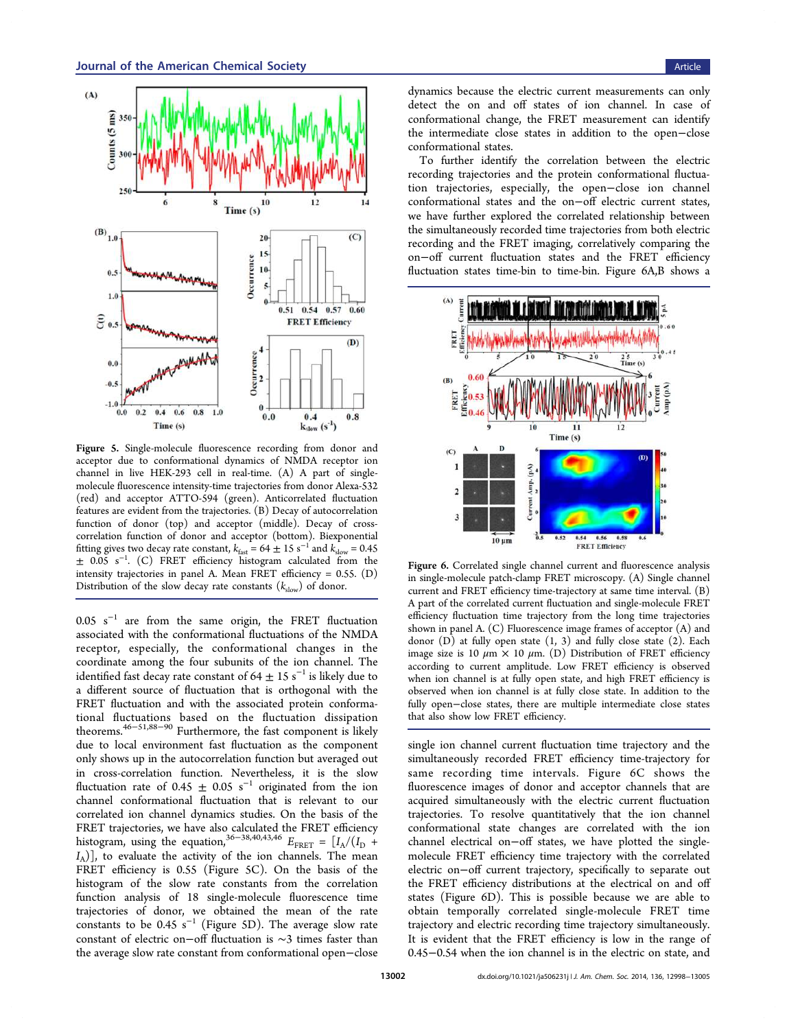

Figure 5. Single-molecule fluorescence recording from donor and acceptor due to conformational dynamics of NMDA receptor ion channel in live HEK-293 cell in real-time. (A) A part of singlemolecule fluorescence intensity-time trajectories from donor Alexa-532 (red) and acceptor ATTO-594 (green). Anticorrelated fluctuation features are evident from the trajectories. (B) Decay of autocorrelation function of donor (top) and acceptor (middle). Decay of crosscorrelation function of donor and acceptor (bottom). Biexponential fitting gives two decay rate constant,  $k_{\text{fast}} = 64 \pm 15 \text{ s}^{-1}$  and  $k_{\text{slow}} = 0.45$ ± 0.05 s<sup>−</sup><sup>1</sup> . (C) FRET efficiency histogram calculated from the intensity trajectories in panel A. Mean FRET efficiency = 0.55. (D) Distribution of the slow decay rate constants ( $k_{slow}$ ) of donor.

0.05 s<sup>−</sup><sup>1</sup> are from the same origin, the FRET fluctuation associated with the conformational fluctuations of the NMDA receptor, especially, the conformational changes in the coordinate among the four subunits of the ion channel. The identified fast decay rate constant of 64  $\pm$  15 s $^{-1}$  is likely due to a different source of fluctuation that is orthogonal with the FRET fluctuation and with the associated protein conformational fluctuations based on the fluctuation dissipation theorems.46−51,88−<sup>90</sup> Furthermore, the fast component is likely due to local environment fast fluctuation as the component only shows up in the autocorrelation function but averaged out in cross-correlation function. Nevertheless, it is the slow fluctuation rate of 0.45  $\pm$  0.05 s<sup>-1</sup> originated from the ion channel conformational fluctuation that is relevant to our correlated ion channel dynamics studies. On the basis of the FRET trajectories, we have also calculated the FRET efficiency histogram, using the equation,<sup>36–38,40,43,46</sup>  $E_{\text{FRET}} = \left[I_A/(I_D +$ *I*A )], to evaluate the activity of the ion channels. The mean FRET efficiency is 0.55 (Figure 5C). On the basis of the histogram of the slow rate constants from the correlation function analysis of 18 single-molecule fluorescence time trajectories of donor, we obtained the mean of the rate constants to be 0.45  $s^{-1}$  (Figure 5D). The average slow rate constant of electric on−off fluctuation is ∼3 times faster than the average slow rate constant from conformational open−close

dynamics because the electric current measurements can only detect the on and off states of ion channel. In case of conformational change, the FRET measurement can identify the intermediate close states in addition to the open−close conformational states.

To further identify the correlation between the electric recording trajectories and the protein conformational fluctuation trajectories, especially, the open−close ion channel conformational states and the on−off electric current states, we have further explored the correlated relationship between the simultaneously recorded time trajectories from both electric recording and the FRET imaging, correlatively comparing the on−off current fluctuation states and the FRET efficiency fluctuation states time-bin to time-bin. Figure 6A,B shows a



Figure 6. Correlated single channel current and fluorescence analysis in single-molecule patch-clamp FRET microscopy. (A) Single channel current and FRET efficiency time-trajectory at same time interval. (B) A part of the correlated current fluctuation and single-molecule FRET efficiency fluctuation time trajectory from the long time trajectories shown in panel A. (C) Fluorescence image frames of acceptor (A) and donor (D) at fully open state (1, 3) and fully close state (2). Each image size is 10  $\mu$ m × 10  $\mu$ m. (D) Distribution of FRET efficiency according to current amplitude. Low FRET efficiency is observed when ion channel is at fully open state, and high FRET efficiency is observed when ion channel is at fully close state. In addition to the fully open−close states, there are multiple intermediate close states that also show low FRET efficiency.

single ion channel current fluctuation time trajectory and the simultaneously recorded FRET efficiency time-trajectory for same recording time intervals. Figure 6C shows the fluorescence images of donor and acceptor channels that are acquired simultaneously with the electric current fluctuation trajectories. To resolve quantitatively that the ion channel conformational state changes are correlated with the ion channel electrical on−off states, we have plotted the singlemolecule FRET efficiency time trajectory with the correlated electric on−off current trajectory, specifically to separate out the FRET efficiency distributions at the electrical on and off states (Figure 6D). This is possible because we are able to obtain temporally correlated single-molecule FRET time trajectory and electric recording time trajectory simultaneously. It is evident that the FRET efficiency is low in the range of 0.45−0.54 when the ion channel is in the electric on state, and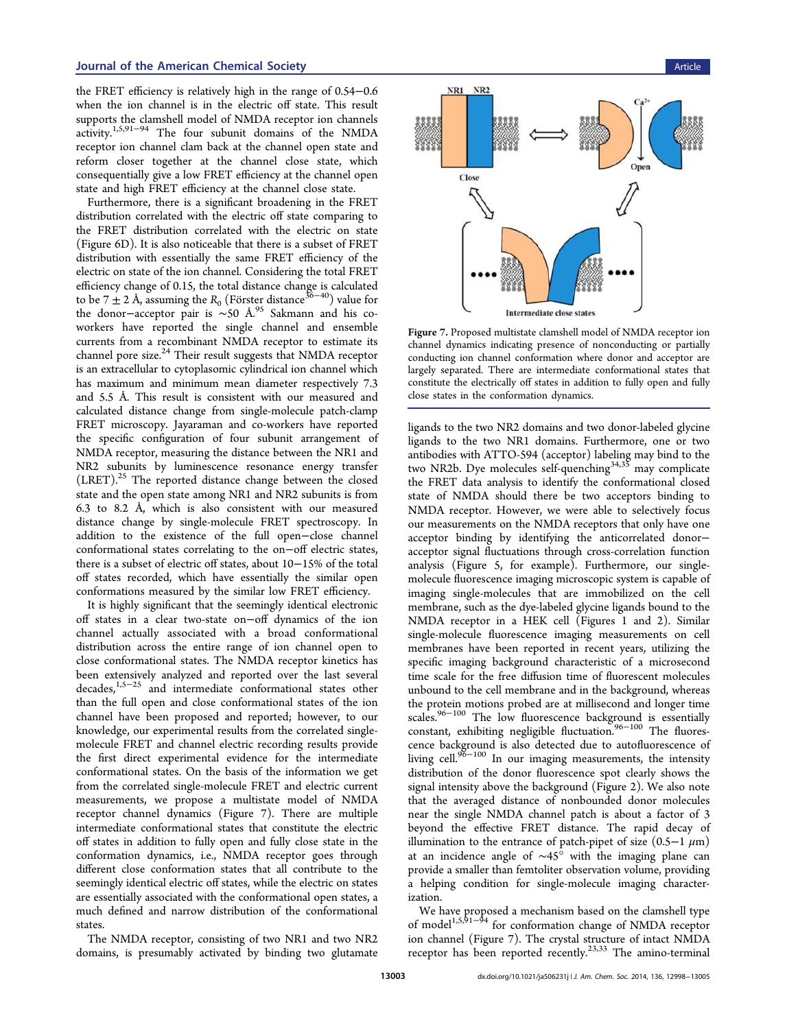the FRET efficiency is relatively high in the range of 0.54−0.6 when the ion channel is in the electric off state. This result supports the clamshell model of NMDA receptor ion channels  $\arct{1}$ <sub>1,5,91</sub>–94 The four subunit domains of the NMDA receptor ion channel clam back at the channel open state and reform closer together at the channel close state, which consequentially give a low FRET efficiency at the channel open state and high FRET efficiency at the channel close state.

Furthermore, there is a significant broadening in the FRET distribution correlated with the electric off state comparing to the FRET distribution correlated with the electric on state (Figure 6D). It is also noticeable that there is a subset of FRET distribution with essentially the same FRET efficiency of the electric on state of the ion channel. Considering the total FRET efficiency change of 0.15, the total distance change is calculated to be  $7 \pm 2$  Å, assuming the  $R_0$  (Förster distance<sup>36–40</sup>) value for the donor−acceptor pair is ∼50 Å.<sup>95</sup> Sakmann and his coworkers have reported the single channel and ensemble currents from a recombinant NMDA receptor to estimate its channel pore size.<sup>24</sup> Their result suggests that NMDA receptor is an extracellular to cytoplasomic cylindrical ion channel which has maximum and minimum mean diameter respectively 7.3 and 5.5 Å. This result is consistent with our measured and calculated distance change from single-molecule patch-clamp FRET microscopy. Jayaraman and co-workers have reported the specific configuration of four subunit arrangement of NMDA receptor, measuring the distance between the NR1 and NR2 subunits by luminescence resonance energy transfer (LRET).<sup>25</sup> The reported distance change between the closed state and the open state among NR1 and NR2 subunits is from 6.3 to 8.2 Å, which is also consistent with our measured distance change by single-molecule FRET spectroscopy. In addition to the existence of the full open−close channel conformational states correlating to the on−off electric states, there is a subset of electric off states, about 10−15% of the total off states recorded, which have essentially the similar open conformations measured by the similar low FRET efficiency.

It is highly significant that the seemingly identical electronic off states in a clear two-state on−off dynamics of the ion channel actually associated with a broad conformational distribution across the entire range of ion channel open to close conformational states. The NMDA receptor kinetics has been extensively analyzed and reported over the last several decades,1,5−<sup>25</sup> and intermediate conformational states other than the full open and close conformational states of the ion channel have been proposed and reported; however, to our knowledge, our experimental results from the correlated singlemolecule FRET and channel electric recording results provide the first direct experimental evidence for the intermediate conformational states. On the basis of the information we get from the correlated single-molecule FRET and electric current measurements, we propose a multistate model of NMDA receptor channel dynamics (Figure 7). There are multiple intermediate conformational states that constitute the electric off states in addition to fully open and fully close state in the conformation dynamics, i.e., NMDA receptor goes through different close conformation states that all contribute to the seemingly identical electric off states, while the electric on states are essentially associated with the conformational open states, a much defined and narrow distribution of the conformational states.

The NMDA receptor, consisting of two NR1 and two NR2 domains, is presumably activated by binding two glutamate



Figure 7. Proposed multistate clamshell model of NMDA receptor ion channel dynamics indicating presence of nonconducting or partially conducting ion channel conformation where donor and acceptor are largely separated. There are intermediate conformational states that constitute the electrically off states in addition to fully open and fully close states in the conformation dynamics.

ligands to the two NR2 domains and two donor-labeled glycine ligands to the two NR1 domains. Furthermore, one or two antibodies with ATTO-594 (acceptor) labeling may bind to the two NR2b. Dye molecules self-quenching<sup>34,35</sup> may complicate the FRET data analysis to identify the conformational closed state of NMDA should there be two acceptors binding to NMDA receptor. However, we were able to selectively focus our measurements on the NMDA receptors that only have one acceptor binding by identifying the anticorrelated donor− acceptor signal fluctuations through cross-correlation function analysis (Figure 5, for example). Furthermore, our singlemolecule fluorescence imaging microscopic system is capable of imaging single-molecules that are immobilized on the cell membrane, such as the dye-labeled glycine ligands bound to the NMDA receptor in a HEK cell (Figures 1 and 2). Similar single-molecule fluorescence imaging measurements on cell membranes have been reported in recent years, utilizing the specific imaging background characteristic of a microsecond time scale for the free diffusion time of fluorescent molecules unbound to the cell membrane and in the background, whereas the protein motions probed are at millisecond and longer time scales.<sup>96−100</sup> The low fluorescence background is essentially constant, exhibiting negligible fluctuation.<sup>96−100</sup> The fluorescence background is also detected due to autofluorescence of living cell.<sup>96−100</sup> In our imaging measurements, the intensity distribution of the donor fluorescence spot clearly shows the signal intensity above the background (Figure 2). We also note that the averaged distance of nonbounded donor molecules near the single NMDA channel patch is about a factor of 3 beyond the effective FRET distance. The rapid decay of illumination to the entrance of patch-pipet of size (0.5−1 μm) at an incidence angle of ∼45° with the imaging plane can provide a smaller than femtoliter observation volume, providing a helping condition for single-molecule imaging characterization.

We have proposed a mechanism based on the clamshell type of model<sup>1,5,91−94</sup> for conformation change of NMDA receptor ion channel (Figure 7). The crystal structure of intact NMDA receptor has been reported recently.<sup>23,33</sup> The amino-terminal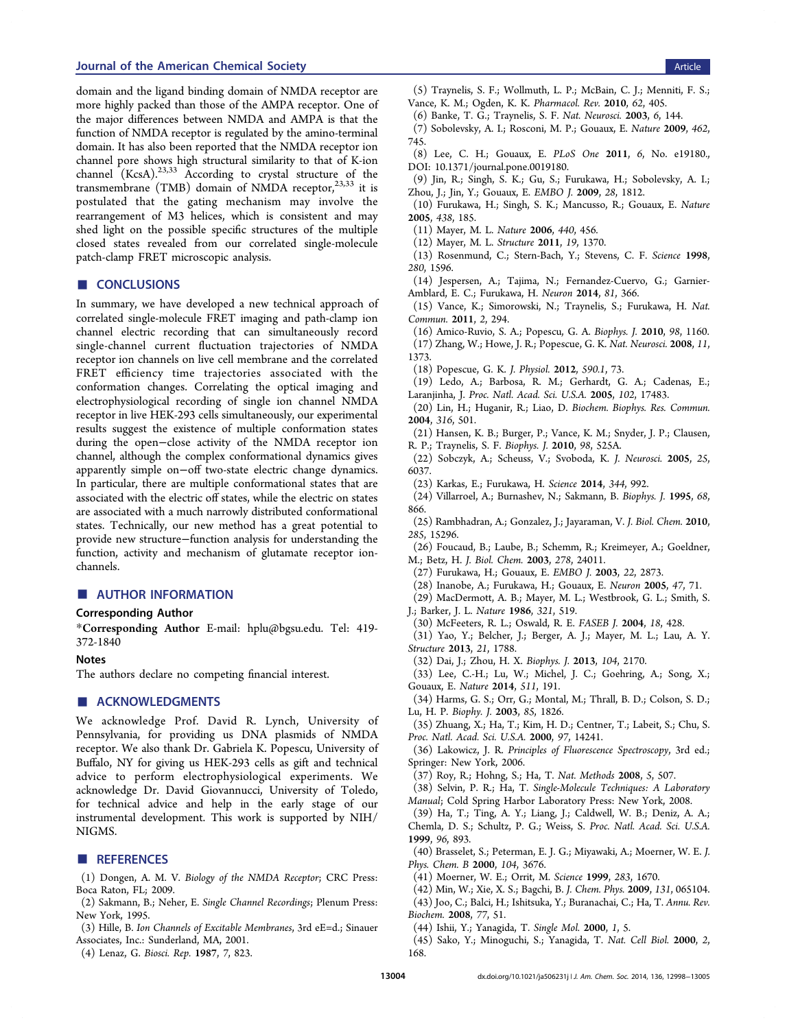### **Journal of the American Chemical Society** Article American Chemical Society Article American Chemical Society Article

domain and the ligand binding domain of NMDA receptor are more highly packed than those of the AMPA receptor. One of the major differences between NMDA and AMPA is that the function of NMDA receptor is regulated by the amino-terminal domain. It has also been reported that the NMDA receptor ion channel pore shows high structural similarity to that of K-ion channel  $(KcsA)$ .<sup>23,33</sup> According to crystal structure of the transmembrane (TMB) domain of NMDA receptor, $23,33$  it is postulated that the gating mechanism may involve the rearrangement of M3 helices, which is consistent and may shed light on the possible specific structures of the multiple closed states revealed from our correlated single-molecule patch-clamp FRET microscopic analysis.

## ■ CONCLUSIONS

In summary, we have developed a new technical approach of correlated single-molecule FRET imaging and path-clamp ion channel electric recording that can simultaneously record single-channel current fluctuation trajectories of NMDA receptor ion channels on live cell membrane and the correlated FRET efficiency time trajectories associated with the conformation changes. Correlating the optical imaging and electrophysiological recording of single ion channel NMDA receptor in live HEK-293 cells simultaneously, our experimental results suggest the existence of multiple conformation states during the open−close activity of the NMDA receptor ion channel, although the complex conformational dynamics gives apparently simple on−off two-state electric change dynamics. In particular, there are multiple conformational states that are associated with the electric off states, while the electric on states are associated with a much narrowly distributed conformational states. Technically, our new method has a great potential to provide new structure−function analysis for understanding the function, activity and mechanism of glutamate receptor ionchannels.

### ■ AUTHOR INFORMATION

#### Corresponding Author

\*Corresponding Author E-mail: hplu@bgsu.edu. Tel: 419- 372-1840

#### Notes

The authors declare no competing financial interest.

#### ■ ACKNOWLEDGMENTS

We acknowledge Prof. David R. Lynch, University of Pennsylvania, for providing us DNA plasmids of NMDA receptor. We also thank Dr. Gabriela K. Popescu, University of Buffalo, NY for giving us HEK-293 cells as gift and technical advice to perform electrophysiological experiments. We acknowledge Dr. David Giovannucci, University of Toledo, for technical advice and help in the early stage of our instrumental development. This work is supported by NIH/ NIGMS.

#### **ENDERGERENCES**

(1) Dongen, A. M. V. *Biology of the NMDA Receptor*; CRC Press: Boca Raton, FL; 2009.

- (2) Sakmann, B.; Neher, E. *Single Channel Recordings*; Plenum Press: New York, 1995.
- (3) Hille, B. *Ion Channels of Excitable Membranes*, 3rd eE=d.; Sinauer Associates, Inc.: Sunderland, MA, 2001.
- (4) Lenaz, G. *Biosci. Rep.* 1987, *7*, 823.
- (5) Traynelis, S. F.; Wollmuth, L. P.; McBain, C. J.; Menniti, F. S.; Vance, K. M.; Ogden, K. K. *Pharmacol. Rev.* 2010, *62*, 405.
- (6) Banke, T. G.; Traynelis, S. F. *Nat. Neurosci.* 2003, *6*, 144.
- (7) Sobolevsky, A. I.; Rosconi, M. P.; Gouaux, E. *Nature* 2009, *462*, 745.
- (8) Lee, C. H.; Gouaux, E. *PLoS One* 2011, *6*, No. e19180., DOI: 10.1371/journal.pone.0019180.
- (9) Jin, R.; Singh, S. K.; Gu, S.; Furukawa, H.; Sobolevsky, A. I.; Zhou, J.; Jin, Y.; Gouaux, E. *EMBO J.* 2009, *28*, 1812.
- (10) Furukawa, H.; Singh, S. K.; Mancusso, R.; Gouaux, E. *Nature* 2005, *438*, 185.
- (11) Mayer, M. L. *Nature* 2006, *440*, 456.
- (12) Mayer, M. L. *Structure* 2011, *19*, 1370.
- (13) Rosenmund, C.; Stern-Bach, Y.; Stevens, C. F. *Science* 1998, *280*, 1596.
- (14) Jespersen, A.; Tajima, N.; Fernandez-Cuervo, G.; Garnier-Amblard, E. C.; Furukawa, H. *Neuron* 2014, *81*, 366.
- (15) Vance, K.; Simorowski, N.; Traynelis, S.; Furukawa, H. *Nat. Commun.* 2011, *2*, 294.
- (16) Amico-Ruvio, S. A.; Popescu, G. A. *Biophys. J.* 2010, *98*, 1160.
- (17) Zhang, W.; Howe, J. R.; Popescue, G. K. *Nat. Neurosci.* 2008, *11*, 1373.
- (18) Popescue, G. K. *J. Physiol.* 2012, *590.1*, 73.
- (19) Ledo, A.; Barbosa, R. M.; Gerhardt, G. A.; Cadenas, E.; Laranjinha, J. *Proc. Natl. Acad. Sci. U.S.A.* 2005, *102*, 17483.
- (20) Lin, H.; Huganir, R.; Liao, D. *Biochem. Biophys. Res. Commun.* 2004, *316*, 501.
- (21) Hansen, K. B.; Burger, P.; Vance, K. M.; Snyder, J. P.; Clausen, R. P.; Traynelis, S. F. *Biophys. J.* 2010, *98*, 525A.
- (22) Sobczyk, A.; Scheuss, V.; Svoboda, K. *J. Neurosci.* 2005, *25*, 6037.
- (23) Karkas, E.; Furukawa, H. *Science* 2014, *344*, 992.
- (24) Villarroel, A.; Burnashev, N.; Sakmann, B. *Biophys. J.* 1995, *68*, 866.
- (25) Rambhadran, A.; Gonzalez, J.; Jayaraman, V. *J. Biol. Chem.* 2010, *285*, 15296.
- (26) Foucaud, B.; Laube, B.; Schemm, R.; Kreimeyer, A.; Goeldner, M.; Betz, H. *J. Biol. Chem.* 2003, *278*, 24011.
- (27) Furukawa, H.; Gouaux, E. *EMBO J.* 2003, *22*, 2873.
- (28) Inanobe, A.; Furukawa, H.; Gouaux, E. *Neuron* 2005, *47*, 71.
- (29) MacDermott, A. B.; Mayer, M. L.; Westbrook, G. L.; Smith, S.
- J.; Barker, J. L. *Nature* 1986, *321*, 519.
- (30) McFeeters, R. L.; Oswald, R. E. *FASEB J.* 2004, *18*, 428.
- (31) Yao, Y.; Belcher, J.; Berger, A. J.; Mayer, M. L.; Lau, A. Y. *Structure* 2013, *21*, 1788.
- (32) Dai, J.; Zhou, H. X. *Biophys. J.* 2013, *104*, 2170.
- (33) Lee, C.-H.; Lu, W.; Michel, J. C.; Goehring, A.; Song, X.; Gouaux, E. *Nature* 2014, *511*, 191.
- (34) Harms, G. S.; Orr, G.; Montal, M.; Thrall, B. D.; Colson, S. D.; Lu, H. P. *Biophy. J.* 2003, *85*, 1826.
- (35) Zhuang, X.; Ha, T.; Kim, H. D.; Centner, T.; Labeit, S.; Chu, S. *Proc. Natl. Acad. Sci. U.S.A.* 2000, *97*, 14241.
- (36) Lakowicz, J. R. *Principles of Fluorescence Spectroscopy*, 3rd ed.; Springer: New York, 2006.
- (37) Roy, R.; Hohng, S.; Ha, T. *Nat. Methods* 2008, *5*, 507.
- (38) Selvin, P. R.; Ha, T. *Single-Molecule Techniques: A Laboratory Manual*; Cold Spring Harbor Laboratory Press: New York, 2008.
- (39) Ha, T.; Ting, A. Y.; Liang, J.; Caldwell, W. B.; Deniz, A. A.; Chemla, D. S.; Schultz, P. G.; Weiss, S. *Proc. Natl. Acad. Sci. U.S.A.* 1999, *96*, 893.
- (40) Brasselet, S.; Peterman, E. J. G.; Miyawaki, A.; Moerner, W. E. *J. Phys. Chem. B* 2000, *104*, 3676.
- (41) Moerner, W. E.; Orrit, M. *Science* 1999, *283*, 1670.
- (42) Min, W.; Xie, X. S.; Bagchi, B. *J. Chem. Phys.* 2009, *131*, 065104.
- (43) Joo, C.; Balci, H.; Ishitsuka, Y.; Buranachai, C.; Ha, T. *Annu. Rev. Biochem.* 2008, *77*, 51.
- (44) Ishii, Y.; Yanagida, T. *Single Mol.* 2000, *1*, 5.
- (45) Sako, Y.; Minoguchi, S.; Yanagida, T. *Nat. Cell Biol.* 2000, *2*, 168.